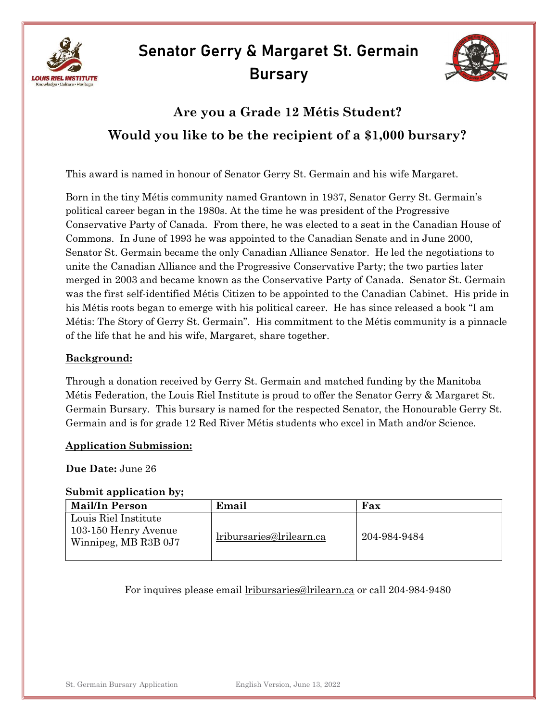



## Are you a Grade 12 Métis Student? Would you like to be the recipient of a \$1,000 bursary?

This award is named in honour of Senator Gerry St. Germain and his wife Margaret.

Born in the tiny Métis community named Grantown in 1937, Senator Gerry St. Germain's political career began in the 1980s. At the time he was president of the Progressive Conservative Party of Canada. From there, he was elected to a seat in the Canadian House of Commons. In June of 1993 he was appointed to the Canadian Senate and in June 2000, Senator St. Germain became the only Canadian Alliance Senator. He led the negotiations to unite the Canadian Alliance and the Progressive Conservative Party; the two parties later merged in 2003 and became known as the Conservative Party of Canada. Senator St. Germain was the first self-identified Métis Citizen to be appointed to the Canadian Cabinet. His pride in his Métis roots began to emerge with his political career. He has since released a book "I am Métis: The Story of Gerry St. Germain". His commitment to the Métis community is a pinnacle of the life that he and his wife, Margaret, share together.

#### Background:

Through a donation received by Gerry St. Germain and matched funding by the Manitoba Métis Federation, the Louis Riel Institute is proud to offer the Senator Gerry & Margaret St. Germain Bursary. This bursary is named for the respected Senator, the Honourable Gerry St. Germain and is for grade 12 Red River Métis students who excel in Math and/or Science.

#### Application Submission:

#### Due Date: June 26

#### Submit application by;

| <b>Mail/In Person</b>                                                | Email                           | Fax          |
|----------------------------------------------------------------------|---------------------------------|--------------|
| Louis Riel Institute<br>103-150 Henry Avenue<br>Winnipeg, MB R3B 0J7 | <u>lribursaries@lrilearn.ca</u> | 204-984-9484 |

For inquires please email lribursaries@lrilearn.ca or call 204-984-9480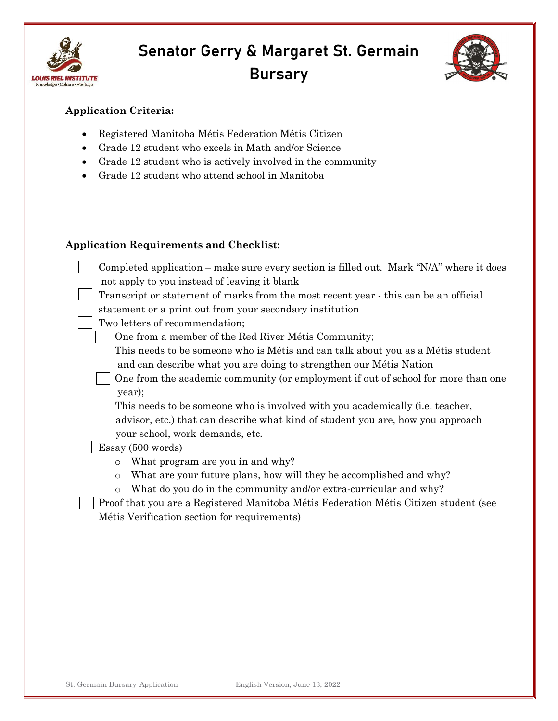



### Application Criteria:

- Registered Manitoba Métis Federation Métis Citizen
- Grade 12 student who excels in Math and/or Science
- Grade 12 student who is actively involved in the community
- Grade 12 student who attend school in Manitoba

#### Application Requirements and Checklist:

| Completed application – make sure every section is filled out. Mark "N/A" where it does |
|-----------------------------------------------------------------------------------------|
| not apply to you instead of leaving it blank                                            |
| Transcript or statement of marks from the most recent year - this can be an official    |
| statement or a print out from your secondary institution                                |
| Two letters of recommendation;                                                          |
| One from a member of the Red River Métis Community;                                     |
| This needs to be someone who is Métis and can talk about you as a Métis student         |
| and can describe what you are doing to strengthen our Métis Nation                      |
| One from the academic community (or employment if out of school for more than one       |
| year);                                                                                  |
| This needs to be someone who is involved with you academically (i.e. teacher,           |
| advisor, etc.) that can describe what kind of student you are, how you approach         |
| your school, work demands, etc.                                                         |
| Essay (500 words)                                                                       |
| What program are you in and why?<br>$\circ$                                             |
| What are your future plans, how will they be accomplished and why?<br>$\circ$           |
| What do you do in the community and/or extra-curricular and why?<br>$\circ$             |
| Proof that you are a Registered Manitoba Métis Federation Métis Citizen student (see    |

Métis Verification section for requirements)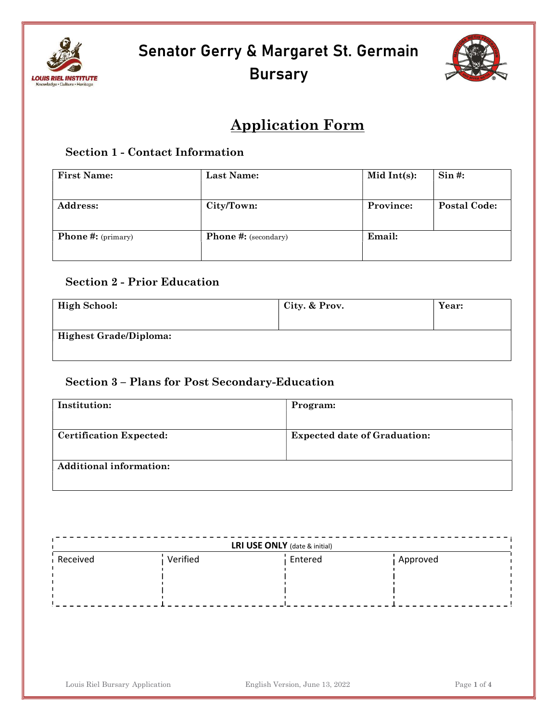



## Application Form

### Section 1 - Contact Information

| <b>First Name:</b>                   | <b>Last Name:</b>           | Mid Int $(s)$ : | $\sin \#$ :         |
|--------------------------------------|-----------------------------|-----------------|---------------------|
|                                      |                             |                 |                     |
| <b>Address:</b>                      | City/Town:                  | Province:       | <b>Postal Code:</b> |
|                                      |                             |                 |                     |
| <b>Phone #:</b> ( $\text{primary}$ ) | <b>Phone #:</b> (secondary) | Email:          |                     |
|                                      |                             |                 |                     |

## Section 2 - Prior Education

| High School:           | City. & Prov. | Year: |
|------------------------|---------------|-------|
| Highest Grade/Diploma: |               |       |

## Section 3 – Plans for Post Secondary-Education

| Institution:                   | Program:                            |
|--------------------------------|-------------------------------------|
|                                |                                     |
| <b>Certification Expected:</b> | <b>Expected date of Graduation:</b> |
|                                |                                     |
| <b>Additional information:</b> |                                     |
|                                |                                     |

| <b>LRI USE ONLY</b> (date & initial) |          |         |          |  |
|--------------------------------------|----------|---------|----------|--|
| Received                             | Verified | Entered | Approved |  |
|                                      |          |         |          |  |
|                                      |          |         |          |  |
|                                      |          |         |          |  |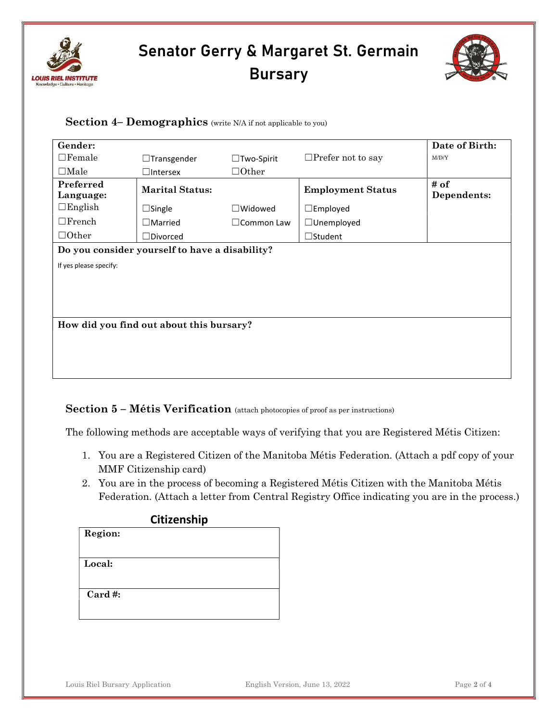



#### Section 4– Demographics (write N/A if not applicable to you)

| Gender:                                        |                        |                      |                          | Date of Birth:      |
|------------------------------------------------|------------------------|----------------------|--------------------------|---------------------|
| $\Box$ Female                                  | $\Box$ Transgender     | $\Box$ Two-Spirit    | $\Box$ Prefer not to say | M/D/Y               |
| $\Box$ Male                                    | $\square$ Intersex     | $\Box$ Other         |                          |                     |
| Preferred<br>Language:                         | <b>Marital Status:</b> |                      | <b>Employment Status</b> | # of<br>Dependents: |
| $\Box$ English                                 | $\Box$ Single          | $\Box$ Widowed       | $\square$ Employed       |                     |
| $\Box$ French                                  | $\Box$ Married         | $\square$ Common Law | $\Box$ Unemployed        |                     |
| $\Box$ Other                                   | $\Box$ Divorced        |                      | $\Box$ Student           |                     |
| Do you consider yourself to have a disability? |                        |                      |                          |                     |
| If yes please specify:                         |                        |                      |                          |                     |
|                                                |                        |                      |                          |                     |
|                                                |                        |                      |                          |                     |
|                                                |                        |                      |                          |                     |
| How did you find out about this bursary?       |                        |                      |                          |                     |

### Section 5 – Métis Verification (attach photocopies of proof as per instructions)

The following methods are acceptable ways of verifying that you are Registered Métis Citizen:

- 1. You are a Registered Citizen of the Manitoba Métis Federation. (Attach a pdf copy of your MMF Citizenship card)
- 2. You are in the process of becoming a Registered Métis Citizen with the Manitoba Métis Federation. (Attach a letter from Central Registry Office indicating you are in the process.)

#### Citizenship

| Region: |
|---------|
|         |

Local:

Card #: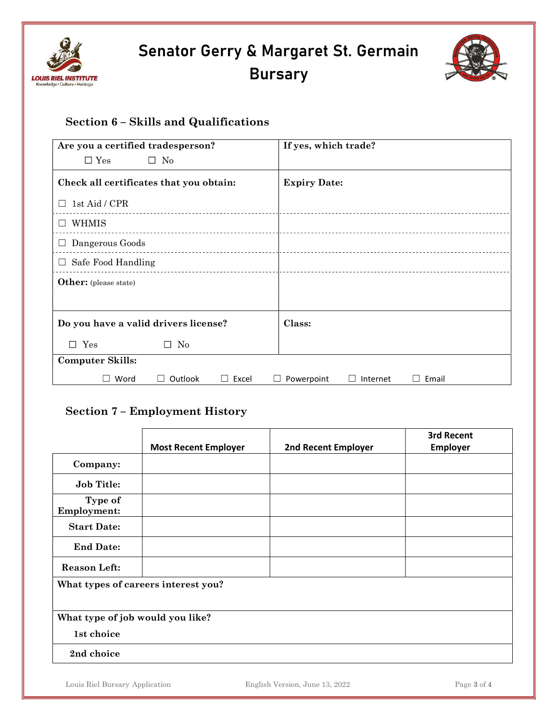



## Section 6 – Skills and Qualifications

| Are you a certified tradesperson?       | If yes, which trade?            |
|-----------------------------------------|---------------------------------|
| $\square$ No<br>$\square$ Yes           |                                 |
| Check all certificates that you obtain: | <b>Expiry Date:</b>             |
| 1st Aid / CPR                           |                                 |
| WHMIS                                   |                                 |
| Dangerous Goods                         |                                 |
| Safe Food Handling<br>ш                 |                                 |
| <b>Other:</b> (please state)            |                                 |
|                                         |                                 |
| Do you have a valid drivers license?    | Class:                          |
| $\Box$ Yes<br>N <sub>0</sub><br>$\Box$  |                                 |
| <b>Computer Skills:</b>                 |                                 |
| Word<br>Outlook<br>Excel<br>$\Box$      | Powerpoint<br>Email<br>Internet |

## Section 7 – Employment History

|                                     | <b>Most Recent Employer</b> | 2nd Recent Employer | 3rd Recent<br>Employer |
|-------------------------------------|-----------------------------|---------------------|------------------------|
| Company:                            |                             |                     |                        |
| <b>Job Title:</b>                   |                             |                     |                        |
| Type of<br><b>Employment:</b>       |                             |                     |                        |
| <b>Start Date:</b>                  |                             |                     |                        |
| <b>End Date:</b>                    |                             |                     |                        |
| <b>Reason Left:</b>                 |                             |                     |                        |
| What types of careers interest you? |                             |                     |                        |
| What type of job would you like?    |                             |                     |                        |
| 1st choice                          |                             |                     |                        |
| 2nd choice                          |                             |                     |                        |